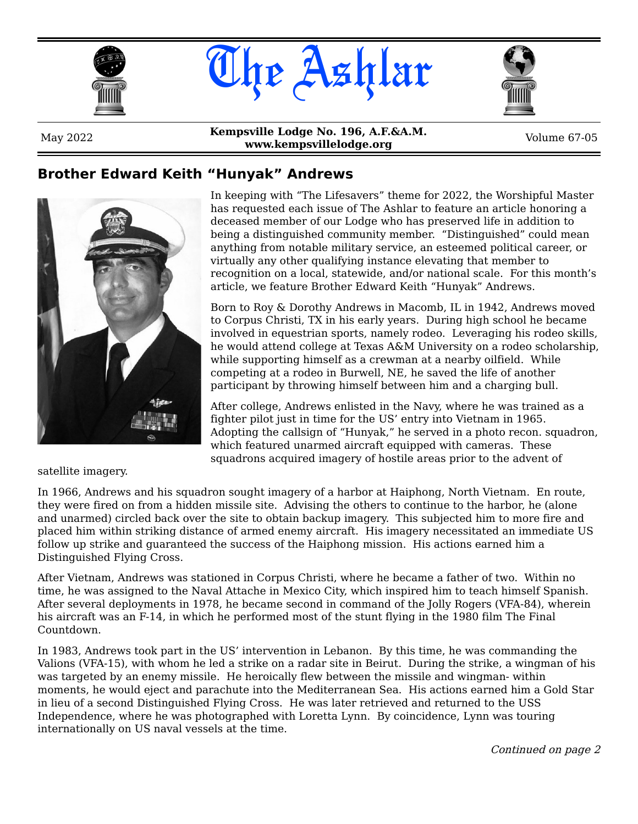





## **Brother Edward Keith "Hunyak" Andrews**



In keeping with "The Lifesavers" theme for 2022, the Worshipful Master has requested each issue of The Ashlar to feature an article honoring a deceased member of our Lodge who has preserved life in addition to being a distinguished community member. "Distinguished" could mean anything from notable military service, an esteemed political career, or virtually any other qualifying instance elevating that member to recognition on a local, statewide, and/or national scale. For this month's article, we feature Brother Edward Keith "Hunyak" Andrews.

Born to Roy & Dorothy Andrews in Macomb, IL in 1942, Andrews moved to Corpus Christi, TX in his early years. During high school he became involved in equestrian sports, namely rodeo. Leveraging his rodeo skills, he would attend college at Texas A&M University on a rodeo scholarship, while supporting himself as a crewman at a nearby oilfield. While competing at a rodeo in Burwell, NE, he saved the life of another participant by throwing himself between him and a charging bull.

After college, Andrews enlisted in the Navy, where he was trained as a fighter pilot just in time for the US' entry into Vietnam in 1965. Adopting the callsign of "Hunyak," he served in a photo recon. squadron, which featured unarmed aircraft equipped with cameras. These squadrons acquired imagery of hostile areas prior to the advent of

satellite imagery.

In 1966, Andrews and his squadron sought imagery of a harbor at Haiphong, North Vietnam. En route, they were fired on from a hidden missile site. Advising the others to continue to the harbor, he (alone and unarmed) circled back over the site to obtain backup imagery. This subjected him to more fire and placed him within striking distance of armed enemy aircraft. His imagery necessitated an immediate US follow up strike and guaranteed the success of the Haiphong mission. His actions earned him a Distinguished Flying Cross.

After Vietnam, Andrews was stationed in Corpus Christi, where he became a father of two. Within no time, he was assigned to the Naval Attache in Mexico City, which inspired him to teach himself Spanish. After several deployments in 1978, he became second in command of the Jolly Rogers (VFA-84), wherein his aircraft was an F-14, in which he performed most of the stunt flying in the 1980 film The Final Countdown.

In 1983, Andrews took part in the US' intervention in Lebanon. By this time, he was commanding the Valions (VFA-15), with whom he led a strike on a radar site in Beirut. During the strike, a wingman of his was targeted by an enemy missile. He heroically flew between the missile and wingman- within moments, he would eject and parachute into the Mediterranean Sea. His actions earned him a Gold Star in lieu of a second Distinguished Flying Cross. He was later retrieved and returned to the USS Independence, where he was photographed with Loretta Lynn. By coincidence, Lynn was touring internationally on US naval vessels at the time.

Continued on page 2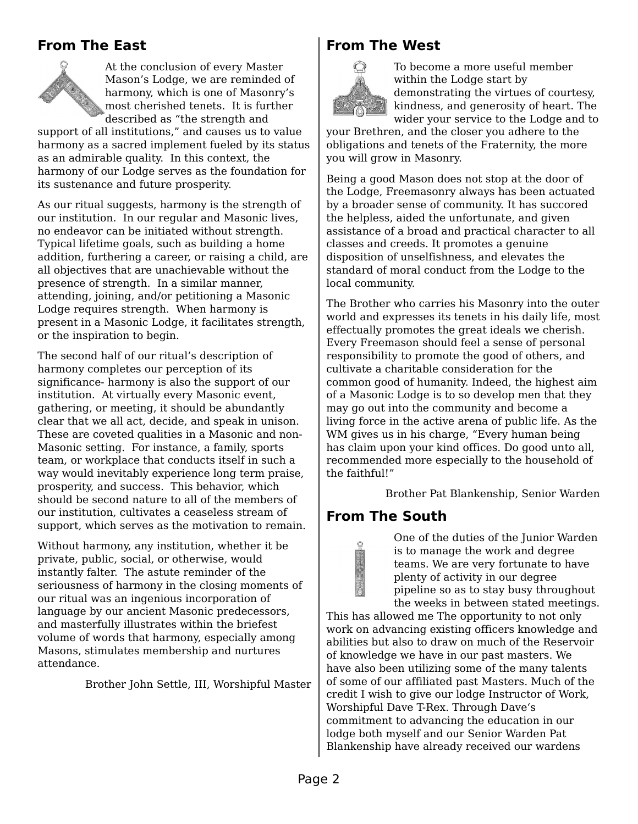## **From The East**



At the conclusion of every Master Mason's Lodge, we are reminded of harmony, which is one of Masonry's most cherished tenets. It is further described as "the strength and

support of all institutions," and causes us to value harmony as a sacred implement fueled by its status as an admirable quality. In this context, the harmony of our Lodge serves as the foundation for its sustenance and future prosperity.

As our ritual suggests, harmony is the strength of our institution. In our regular and Masonic lives, no endeavor can be initiated without strength. Typical lifetime goals, such as building a home addition, furthering a career, or raising a child, are all objectives that are unachievable without the presence of strength. In a similar manner, attending, joining, and/or petitioning a Masonic Lodge requires strength. When harmony is present in a Masonic Lodge, it facilitates strength, or the inspiration to begin.

The second half of our ritual's description of harmony completes our perception of its significance- harmony is also the support of our institution. At virtually every Masonic event, gathering, or meeting, it should be abundantly clear that we all act, decide, and speak in unison. These are coveted qualities in a Masonic and non-Masonic setting. For instance, a family, sports team, or workplace that conducts itself in such a way would inevitably experience long term praise, prosperity, and success. This behavior, which should be second nature to all of the members of our institution, cultivates a ceaseless stream of support, which serves as the motivation to remain.

Without harmony, any institution, whether it be private, public, social, or otherwise, would instantly falter. The astute reminder of the seriousness of harmony in the closing moments of our ritual was an ingenious incorporation of language by our ancient Masonic predecessors, and masterfully illustrates within the briefest volume of words that harmony, especially among Masons, stimulates membership and nurtures attendance.

Brother John Settle, III, Worshipful Master

#### **From The West**



To become a more useful member within the Lodge start by demonstrating the virtues of courtesy, kindness, and generosity of heart. The wider your service to the Lodge and to

your Brethren, and the closer you adhere to the obligations and tenets of the Fraternity, the more you will grow in Masonry.

Being a good Mason does not stop at the door of the Lodge, Freemasonry always has been actuated by a broader sense of community. It has succored the helpless, aided the unfortunate, and given assistance of a broad and practical character to all classes and creeds. It promotes a genuine disposition of unselfishness, and elevates the standard of moral conduct from the Lodge to the local community.

The Brother who carries his Masonry into the outer world and expresses its tenets in his daily life, most effectually promotes the great ideals we cherish. Every Freemason should feel a sense of personal responsibility to promote the good of others, and cultivate a charitable consideration for the common good of humanity. Indeed, the highest aim of a Masonic Lodge is to so develop men that they may go out into the community and become a living force in the active arena of public life. As the WM gives us in his charge, "Every human being has claim upon your kind offices. Do good unto all, recommended more especially to the household of the faithful!"

Brother Pat Blankenship, Senior Warden

#### **From The South**

One of the duties of the Junior Warden is to manage the work and degree teams. We are very fortunate to have plenty of activity in our degree pipeline so as to stay busy throughout the weeks in between stated meetings.

This has allowed me The opportunity to not only work on advancing existing officers knowledge and abilities but also to draw on much of the Reservoir of knowledge we have in our past masters. We have also been utilizing some of the many talents of some of our affiliated past Masters. Much of the credit I wish to give our lodge Instructor of Work, Worshipful Dave T-Rex. Through Dave's commitment to advancing the education in our lodge both myself and our Senior Warden Pat Blankenship have already received our wardens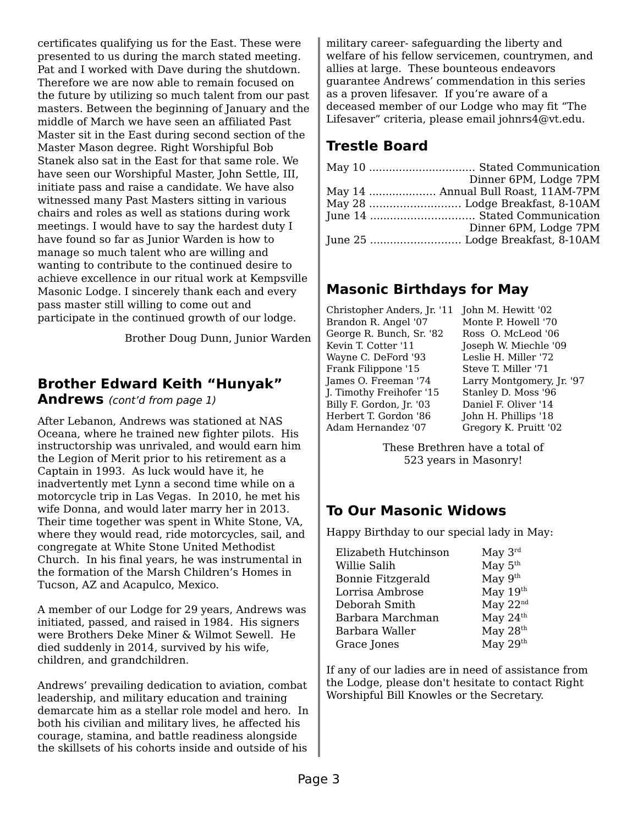certificates qualifying us for the East. These were presented to us during the march stated meeting. Pat and I worked with Dave during the shutdown. Therefore we are now able to remain focused on the future by utilizing so much talent from our past masters. Between the beginning of January and the middle of March we have seen an affiliated Past Master sit in the East during second section of the Master Mason degree. Right Worshipful Bob Stanek also sat in the East for that same role. We have seen our Worshipful Master, John Settle, III, initiate pass and raise a candidate. We have also witnessed many Past Masters sitting in various chairs and roles as well as stations during work meetings. I would have to say the hardest duty I have found so far as Junior Warden is how to manage so much talent who are willing and wanting to contribute to the continued desire to achieve excellence in our ritual work at Kempsville Masonic Lodge. I sincerely thank each and every pass master still willing to come out and participate in the continued growth of our lodge.

Brother Doug Dunn, Junior Warden

## **Brother Edward Keith "Hunyak"**

**Andrews** (cont'd from page 1)

After Lebanon, Andrews was stationed at NAS Oceana, where he trained new fighter pilots. His instructorship was unrivaled, and would earn him the Legion of Merit prior to his retirement as a Captain in 1993. As luck would have it, he inadvertently met Lynn a second time while on a motorcycle trip in Las Vegas. In 2010, he met his wife Donna, and would later marry her in 2013. Their time together was spent in White Stone, VA, where they would read, ride motorcycles, sail, and congregate at White Stone United Methodist Church. In his final years, he was instrumental in the formation of the Marsh Children's Homes in Tucson, AZ and Acapulco, Mexico.

A member of our Lodge for 29 years, Andrews was initiated, passed, and raised in 1984. His signers were Brothers Deke Miner & Wilmot Sewell. He died suddenly in 2014, survived by his wife, children, and grandchildren.

Andrews' prevailing dedication to aviation, combat leadership, and military education and training demarcate him as a stellar role model and hero. In both his civilian and military lives, he affected his courage, stamina, and battle readiness alongside the skillsets of his cohorts inside and outside of his

military career- safeguarding the liberty and welfare of his fellow servicemen, countrymen, and allies at large. These bounteous endeavors guarantee Andrews' commendation in this series as a proven lifesaver. If you're aware of a deceased member of our Lodge who may fit "The Lifesaver" criteria, please email johnrs4@vt.edu.

# **Trestle Board**

| Dinner 6PM, Lodge 7PM               |
|-------------------------------------|
| May 14  Annual Bull Roast, 11AM-7PM |
|                                     |
|                                     |
| Dinner 6PM, Lodge 7PM               |
|                                     |
|                                     |

# **Masonic Birthdays for May**

Christopher Anders, Jr. '11 John M. Hewitt '02 Brandon R. Angel '07 George R. Bunch, Sr. '82 Kevin T. Cotter '11 Wayne C. DeFord '93 Frank Filippone '15 James O. Freeman '74 J. Timothy Freihofer '15 Billy F. Gordon, Jr. '03 Herbert T. Gordon '86 Adam Hernandez '07

Monte P. Howell '70 Ross O. McLeod '06 Joseph W. Miechle '09 Leslie H. Miller '72 Steve T. Miller '71 Larry Montgomery, Jr. '97 Stanley D. Moss '96 Daniel F. Oliver '14 John H. Phillips '18 Gregory K. Pruitt '02

These Brethren have a total of 523 years in Masonry!

# **To Our Masonic Widows**

Happy Birthday to our special lady in May:

| Elizabeth Hutchinson | May $3^{rd}$ |
|----------------------|--------------|
| Willie Salih         | May $5th$    |
| Bonnie Fitzgerald    | May $9th$    |
| Lorrisa Ambrose      | May 19th     |
| Deborah Smith        | May $22nd$   |
| Barbara Marchman     | May $24th$   |
| Barbara Waller       | May $28th$   |
|                      | May $29th$   |
| Grace Jones          |              |

If any of our ladies are in need of assistance from the Lodge, please don't hesitate to contact Right Worshipful Bill Knowles or the Secretary.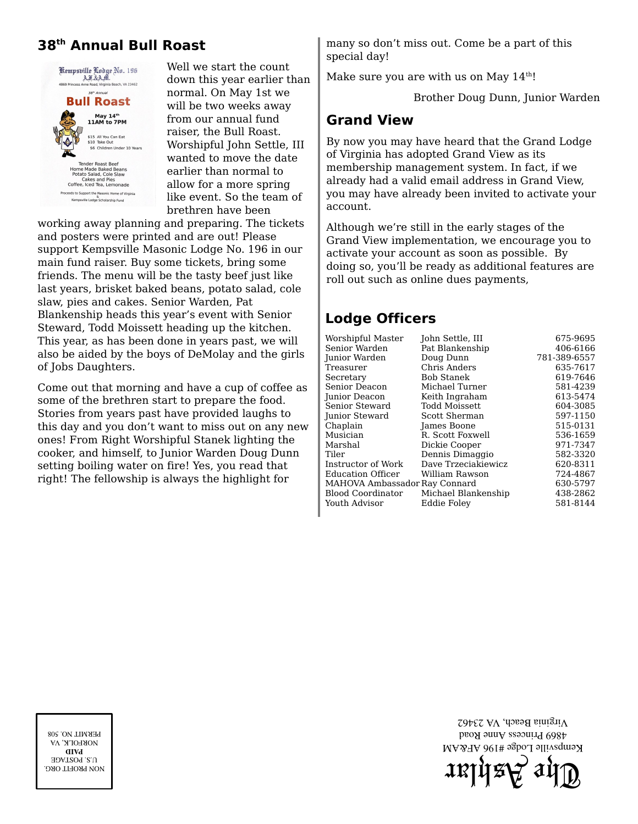# **38th Annual Bull Roast**



Well we start the count down this year earlier than normal. On May 1st we will be two weeks away from our annual fund raiser, the Bull Roast. Worshipful John Settle, III wanted to move the date earlier than normal to allow for a more spring like event. So the team of brethren have been

working away planning and preparing. The tickets and posters were printed and are out! Please support Kempsville Masonic Lodge No. 196 in our main fund raiser. Buy some tickets, bring some friends. The menu will be the tasty beef just like last years, brisket baked beans, potato salad, cole slaw, pies and cakes. Senior Warden, Pat Blankenship heads this year's event with Senior Steward, Todd Moissett heading up the kitchen. This year, as has been done in years past, we will also be aided by the boys of DeMolay and the girls of Jobs Daughters.

Come out that morning and have a cup of coffee as some of the brethren start to prepare the food. Stories from years past have provided laughs to this day and you don't want to miss out on any new ones! From Right Worshipful Stanek lighting the cooker, and himself, to Junior Warden Doug Dunn setting boiling water on fire! Yes, you read that right! The fellowship is always the highlight for

many so don't miss out. Come be a part of this special day!

Make sure you are with us on May  $14<sup>th</sup>$ !

Brother Doug Dunn, Junior Warden

#### **Grand View**

By now you may have heard that the Grand Lodge of Virginia has adopted Grand View as its membership management system. In fact, if we already had a valid email address in Grand View, you may have already been invited to activate your account.

Although we're still in the early stages of the Grand View implementation, we encourage you to activate your account as soon as possible. By doing so, you'll be ready as additional features are roll out such as online dues payments,

#### **Lodge Officers**

| Worshipful Master             | John Settle, III    | 675-9695     |
|-------------------------------|---------------------|--------------|
| Senior Warden                 | Pat Blankenship     | 406-6166     |
| Junior Warden                 | Doug Dunn           | 781-389-6557 |
| Treasurer                     | Chris Anders        | 635-7617     |
| Secretary                     | Bob Stanek          | 619-7646     |
| Senior Deacon                 | Michael Turner      | 581-4239     |
| Junior Deacon                 | Keith Ingraham      | 613-5474     |
| Senior Steward                | Todd Moissett       | 604-3085     |
| Junior Steward                | Scott Sherman       | 597-1150     |
| Chaplain                      | James Boone         | 515-0131     |
| Musician                      | R. Scott Foxwell    | 536-1659     |
| Marshal                       | Dickie Cooper       | 971-7347     |
| Tiler                         | Dennis Dimaggio     | 582-3320     |
| Instructor of Work            | Dave Trzeciakiewicz | 620-8311     |
| Education Officer             | William Rawson      | 724-4867     |
| MAHOVA Ambassador Ray Connard |                     | 630-5797     |
| Blood Coordinator             | Michael Blankenship | 438-2862     |
| Youth Advisor                 | Eddie Folev         | 581-8144     |

 $\mathfrak{supp}\mathfrak{p}$ ah $\mathfrak{p}$ Kempsville Lodge #196 AF&AM 4869 Princess Anne Road Virginia Beach, VA 23462

NON PROFIT ORG. **U.S. POSTAGE PAID** MOKFOLK, VA PERMIT NO. 508